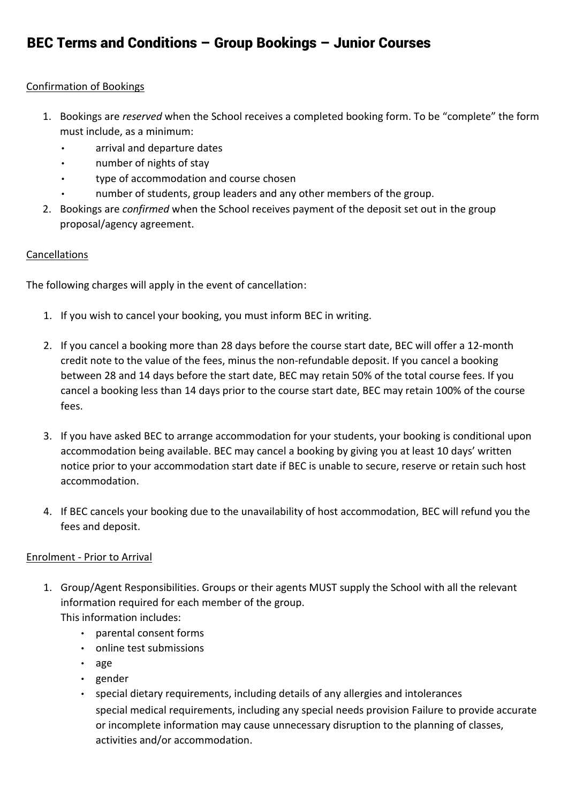#### Confirmation of Bookings

- 1. Bookings are *reserved* when the School receives a completed booking form. To be "complete" the form must include, as a minimum:
	- arrival and departure dates
	- number of nights of stay
	- type of accommodation and course chosen
	- number of students, group leaders and any other members of the group.
- 2. Bookings are *confirmed* when the School receives payment of the deposit set out in the group proposal/agency agreement.

### **Cancellations**

The following charges will apply in the event of cancellation:

- 1. If you wish to cancel your booking, you must inform BEC in writing.
- 2. If you cancel a booking more than 28 days before the course start date, BEC will offer a 12-month credit note to the value of the fees, minus the non-refundable deposit. If you cancel a booking between 28 and 14 days before the start date, BEC may retain 50% of the total course fees. If you cancel a booking less than 14 days prior to the course start date, BEC may retain 100% of the course fees.
- 3. If you have asked BEC to arrange accommodation for your students, your booking is conditional upon accommodation being available. BEC may cancel a booking by giving you at least 10 days' written notice prior to your accommodation start date if BEC is unable to secure, reserve or retain such host accommodation.
- 4. If BEC cancels your booking due to the unavailability of host accommodation, BEC will refund you the fees and deposit.

### Enrolment - Prior to Arrival

- 1. Group/Agent Responsibilities. Groups or their agents MUST supply the School with all the relevant information required for each member of the group. This information includes:
	- parental consent forms
		- online test submissions
		- age
		- gender
		- special dietary requirements, including details of any allergies and intolerances special medical requirements, including any special needs provision Failure to provide accurate or incomplete information may cause unnecessary disruption to the planning of classes, activities and/or accommodation.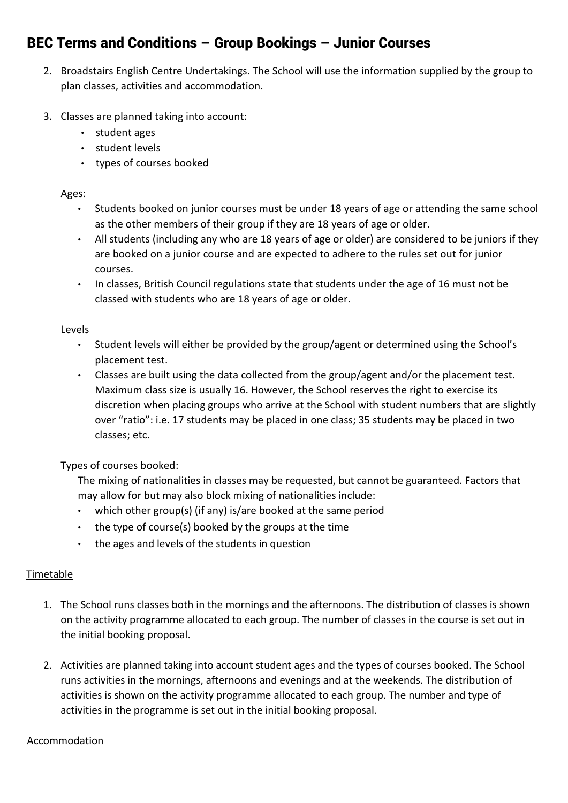- 2. Broadstairs English Centre Undertakings. The School will use the information supplied by the group to plan classes, activities and accommodation.
- 3. Classes are planned taking into account:
	- student ages
	- student levels
	- types of courses booked

### Ages:

- Students booked on junior courses must be under 18 years of age or attending the same school as the other members of their group if they are 18 years of age or older.
- All students (including any who are 18 years of age or older) are considered to be juniors if they are booked on a junior course and are expected to adhere to the rules set out for junior courses.
- In classes, British Council regulations state that students under the age of 16 must not be classed with students who are 18 years of age or older.

### Levels

- Student levels will either be provided by the group/agent or determined using the School's placement test.
- Classes are built using the data collected from the group/agent and/or the placement test. Maximum class size is usually 16. However, the School reserves the right to exercise its discretion when placing groups who arrive at the School with student numbers that are slightly over "ratio": i.e. 17 students may be placed in one class; 35 students may be placed in two classes; etc.

Types of courses booked:

The mixing of nationalities in classes may be requested, but cannot be guaranteed. Factors that may allow for but may also block mixing of nationalities include:

- which other group(s) (if any) is/are booked at the same period
- the type of course(s) booked by the groups at the time
- the ages and levels of the students in question

### Timetable

- 1. The School runs classes both in the mornings and the afternoons. The distribution of classes is shown on the activity programme allocated to each group. The number of classes in the course is set out in the initial booking proposal.
- 2. Activities are planned taking into account student ages and the types of courses booked. The School runs activities in the mornings, afternoons and evenings and at the weekends. The distribution of activities is shown on the activity programme allocated to each group. The number and type of activities in the programme is set out in the initial booking proposal.

### Accommodation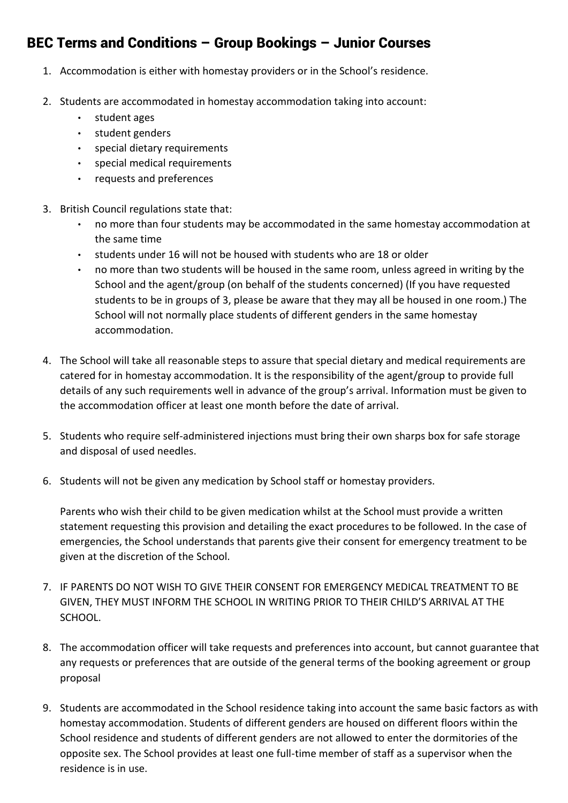- 1. Accommodation is either with homestay providers or in the School's residence.
- 2. Students are accommodated in homestay accommodation taking into account:
	- student ages
	- student genders
	- special dietary requirements
	- special medical requirements
	- requests and preferences
- 3. British Council regulations state that:
	- no more than four students may be accommodated in the same homestay accommodation at the same time
	- students under 16 will not be housed with students who are 18 or older
	- no more than two students will be housed in the same room, unless agreed in writing by the School and the agent/group (on behalf of the students concerned) (If you have requested students to be in groups of 3, please be aware that they may all be housed in one room.) The School will not normally place students of different genders in the same homestay accommodation.
- 4. The School will take all reasonable steps to assure that special dietary and medical requirements are catered for in homestay accommodation. It is the responsibility of the agent/group to provide full details of any such requirements well in advance of the group's arrival. Information must be given to the accommodation officer at least one month before the date of arrival.
- 5. Students who require self-administered injections must bring their own sharps box for safe storage and disposal of used needles.
- 6. Students will not be given any medication by School staff or homestay providers.

Parents who wish their child to be given medication whilst at the School must provide a written statement requesting this provision and detailing the exact procedures to be followed. In the case of emergencies, the School understands that parents give their consent for emergency treatment to be given at the discretion of the School.

- 7. IF PARENTS DO NOT WISH TO GIVE THEIR CONSENT FOR EMERGENCY MEDICAL TREATMENT TO BE GIVEN, THEY MUST INFORM THE SCHOOL IN WRITING PRIOR TO THEIR CHILD'S ARRIVAL AT THE SCHOOL.
- 8. The accommodation officer will take requests and preferences into account, but cannot guarantee that any requests or preferences that are outside of the general terms of the booking agreement or group proposal
- 9. Students are accommodated in the School residence taking into account the same basic factors as with homestay accommodation. Students of different genders are housed on different floors within the School residence and students of different genders are not allowed to enter the dormitories of the opposite sex. The School provides at least one full-time member of staff as a supervisor when the residence is in use.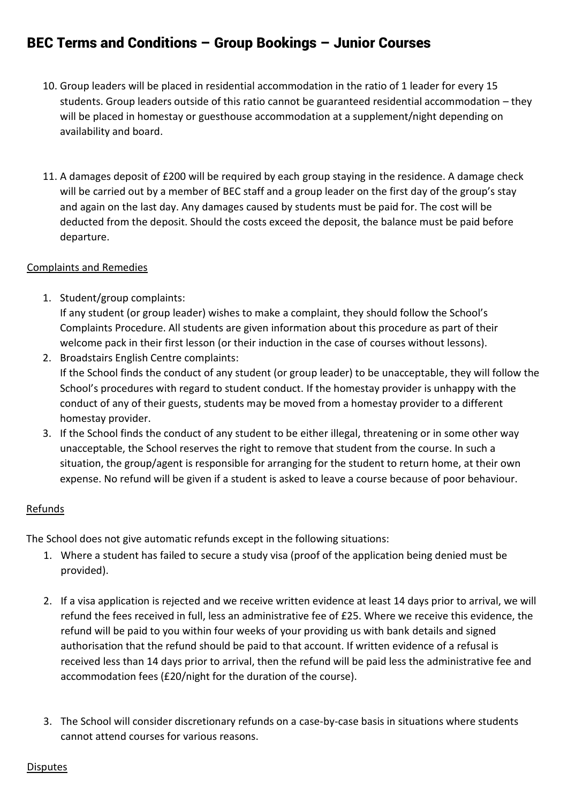- 10. Group leaders will be placed in residential accommodation in the ratio of 1 leader for every 15 students. Group leaders outside of this ratio cannot be guaranteed residential accommodation – they will be placed in homestay or guesthouse accommodation at a supplement/night depending on availability and board.
- 11. A damages deposit of £200 will be required by each group staying in the residence. A damage check will be carried out by a member of BEC staff and a group leader on the first day of the group's stay and again on the last day. Any damages caused by students must be paid for. The cost will be deducted from the deposit. Should the costs exceed the deposit, the balance must be paid before departure.

### Complaints and Remedies

- 1. Student/group complaints: If any student (or group leader) wishes to make a complaint, they should follow the School's Complaints Procedure. All students are given information about this procedure as part of their welcome pack in their first lesson (or their induction in the case of courses without lessons).
- 2. Broadstairs English Centre complaints: If the School finds the conduct of any student (or group leader) to be unacceptable, they will follow the School's procedures with regard to student conduct. If the homestay provider is unhappy with the conduct of any of their guests, students may be moved from a homestay provider to a different homestay provider.
- 3. If the School finds the conduct of any student to be either illegal, threatening or in some other way unacceptable, the School reserves the right to remove that student from the course. In such a situation, the group/agent is responsible for arranging for the student to return home, at their own expense. No refund will be given if a student is asked to leave a course because of poor behaviour.

### Refunds

The School does not give automatic refunds except in the following situations:

- 1. Where a student has failed to secure a study visa (proof of the application being denied must be provided).
- 2. If a visa application is rejected and we receive written evidence at least 14 days prior to arrival, we will refund the fees received in full, less an administrative fee of £25. Where we receive this evidence, the refund will be paid to you within four weeks of your providing us with bank details and signed authorisation that the refund should be paid to that account. If written evidence of a refusal is received less than 14 days prior to arrival, then the refund will be paid less the administrative fee and accommodation fees (£20/night for the duration of the course).
- 3. The School will consider discretionary refunds on a case-by-case basis in situations where students cannot attend courses for various reasons.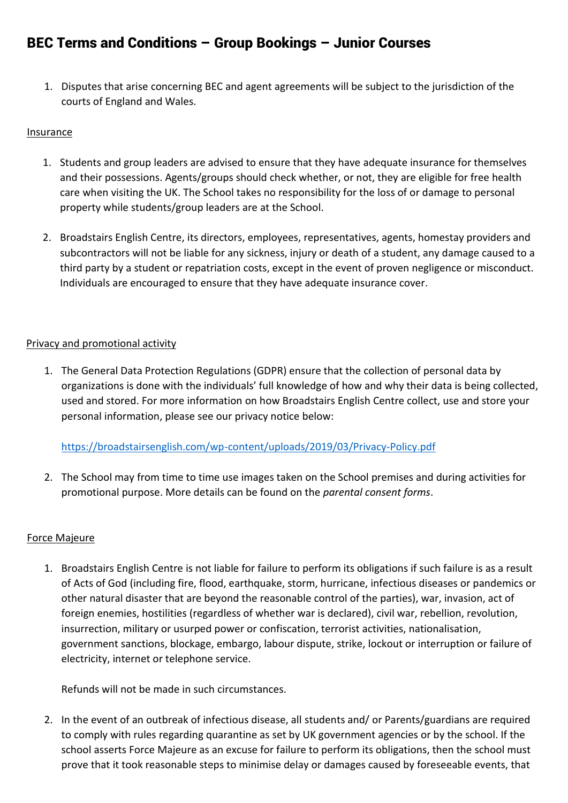1. Disputes that arise concerning BEC and agent agreements will be subject to the jurisdiction of the courts of England and Wales.

#### **Insurance**

- 1. Students and group leaders are advised to ensure that they have adequate insurance for themselves and their possessions. Agents/groups should check whether, or not, they are eligible for free health care when visiting the UK. The School takes no responsibility for the loss of or damage to personal property while students/group leaders are at the School.
- 2. Broadstairs English Centre, its directors, employees, representatives, agents, homestay providers and subcontractors will not be liable for any sickness, injury or death of a student, any damage caused to a third party by a student or repatriation costs, except in the event of proven negligence or misconduct. Individuals are encouraged to ensure that they have adequate insurance cover.

#### Privacy and promotional activity

1. The General Data Protection Regulations (GDPR) ensure that the collection of personal data by organizations is done with the individuals' full knowledge of how and why their data is being collected, used and stored. For more information on how Broadstairs English Centre collect, use and store your personal information, please see our privacy notice below:

<https://broadstairsenglish.com/wp-content/uploads/2019/03/Privacy-Policy.pdf>

2. The School may from time to time use images taken on the School premises and during activities for promotional purpose. More details can be found on the *parental consent forms*.

### Force Majeure

1. Broadstairs English Centre is not liable for failure to perform its obligations if such failure is as a result of Acts of God (including fire, flood, earthquake, storm, hurricane, infectious diseases or pandemics or other natural disaster that are beyond the reasonable control of the parties), war, invasion, act of foreign enemies, hostilities (regardless of whether war is declared), civil war, rebellion, revolution, insurrection, military or usurped power or confiscation, terrorist activities, nationalisation, government sanctions, blockage, embargo, labour dispute, strike, lockout or interruption or failure of electricity, internet or telephone service.

Refunds will not be made in such circumstances.

2. In the event of an outbreak of infectious disease, all students and/ or Parents/guardians are required to comply with rules regarding quarantine as set by UK government agencies or by the school. If the school asserts Force Majeure as an excuse for failure to perform its obligations, then the school must prove that it took reasonable steps to minimise delay or damages caused by foreseeable events, that